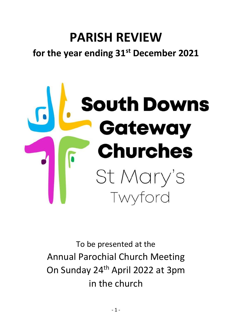# **PARISH REVIEW for the year ending 31st December 2021**



To be presented at the Annual Parochial Church Meeting On Sunday 24th April 2022 at 3pm in the church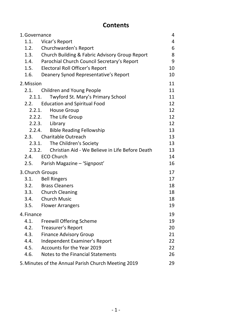# **Contents**

| 1. Governance |                                                           | 4              |
|---------------|-----------------------------------------------------------|----------------|
| 1.1.          | Vicar's Report                                            | $\overline{4}$ |
| 1.2.          | Churchwarden's Report                                     | 6              |
| 1.3.          | Church Building & Fabric Advisory Group Report            | 8              |
| 1.4.          | Parochial Church Council Secretary's Report               | 9              |
| 1.5.          | Electoral Roll Officer's Report                           | 10             |
| 1.6.          | Deanery Synod Representative's Report                     | 10             |
| 2. Mission    |                                                           | 11             |
| 2.1.          | <b>Children and Young People</b>                          | 11             |
|               | Twyford St. Mary's Primary School<br>2.1.1.               | 11             |
| 2.2.          | <b>Education and Spiritual Food</b>                       | 12             |
|               | <b>House Group</b><br>2.2.1.                              | 12             |
|               | 2.2.2. The Life Group                                     | 12             |
|               | 2.2.3. Library                                            | 12             |
|               | 2.2.4. Bible Reading Fellowship                           | 13             |
|               | 2.3. Charitable Outreach                                  | 13             |
|               | The Children's Society<br>2.3.1.                          | 13             |
|               | Christian Aid - We Believe in Life Before Death<br>2.3.2. | 13             |
| 2.4.          | <b>ECO Church</b>                                         | 14             |
| 2.5.          | Parish Magazine - 'Signpost'                              | 16             |
|               | 3. Church Groups                                          | 17             |
|               | 3.1. Bell Ringers                                         | 17             |
|               | 3.2. Brass Cleaners                                       | 18             |
|               | 3.3. Church Cleaning                                      | 18             |
|               | 3.4. Church Music                                         | 18             |
| 3.5.          | <b>Flower Arrangers</b>                                   | 19             |
| 4. Finance    |                                                           | 19             |
| 4.1.          | <b>Freewill Offering Scheme</b>                           | 19             |
| 4.2.          | Treasurer's Report                                        | 20             |
| 4.3.          | <b>Finance Advisory Group</b>                             | 21             |
| 4.4.          | Independent Examiner's Report                             | 22             |
| 4.5.          | Accounts for the Year 2019                                | 22             |
| 4.6.          | Notes to the Financial Statements                         | 26             |
|               | 5. Minutes of the Annual Parish Church Meeting 2019       | 29             |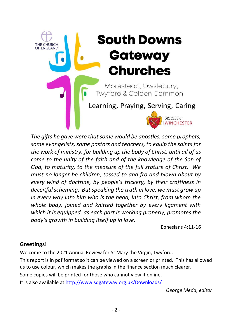# **South Downs** THE CHURCH<br>OF ENGLAND **Gateway Churches** Morestead, Owslebury, **Twyford & Colden Common** Learning, Praying, Serving, Caring DIOCESE of

*The gifts he gave were that some would be apostles, some prophets, some evangelists, some pastors and teachers, to equip the saints for the work of ministry, for building up the body of Christ, until all of us come to the unity of the faith and of the knowledge of the Son of God, to maturity, to the measure of the full stature of Christ. We must no longer be children, tossed to and fro and blown about by every wind of doctrine, by people's trickery, by their craftiness in deceitful scheming. But speaking the truth in love, we must grow up in every way into him who is the head, into Christ, from whom the whole body, joined and knitted together by every ligament with which it is equipped, as each part is working properly, promotes the body's growth in building itself up in love.*

Ephesians 4:11-16

## **Greetings!**

Welcome to the 2021 Annual Review for St Mary the Virgin, Twyford.

This report is in pdf format so it can be viewed on a screen or printed. This has allowed us to use colour, which makes the graphs in the finance section much clearer.

Some copies will be printed for those who cannot view it online.

It is also available at<http://www.sdgateway.org.uk/Downloads/>

*George Medd, editor*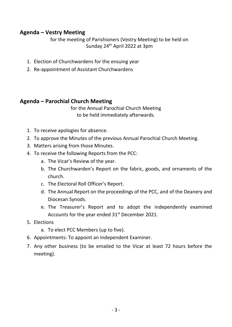## **Agenda – Vestry Meeting**

for the meeting of Parishioners (Vestry Meeting) to be held on Sunday 24th April 2022 at 3pm

- 1. Election of Churchwardens for the ensuing year
- 2. Re-appointment of Assistant Churchwardens

## **Agenda – Parochial Church Meeting**

for the Annual Parochial Church Meeting to be held immediately afterwards.

- 1. To receive apologies for absence.
- 2. To approve the Minutes of the previous Annual Parochial Church Meeting.
- 3. Matters arising from those Minutes.
- 4. To receive the following Reports from the PCC:
	- a. The Vicar's Review of the year.
	- b. The Churchwarden's Report on the fabric, goods, and ornaments of the church.
	- c. The Electoral Roll Officer's Report.
	- d. The Annual Report on the proceedings of the PCC, and of the Deanery and Diocesan Synods.
	- e. The Treasurer's Report and to adopt the independently examined Accounts for the year ended 31<sup>st</sup> December 2021.
- 5. Elections
	- a. To elect PCC Members (up to five).
- 6. Appointments: To appoint an Independent Examiner.
- 7. Any other business (to be emailed to the Vicar at least 72 hours before the meeting).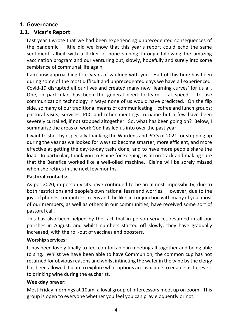## <span id="page-4-0"></span>**1. Governance**

## <span id="page-4-1"></span>**1.1. Vicar's Report**

Last year I wrote that we had been experiencing unprecedented consequences of the pandemic – little did we know that this year's report could echo the same sentiment, albeit with a flicker of hope shining through following the amazing vaccination program and our venturing out, slowly, hopefully and surely into some semblance of communal life again.

I am now approaching four years of working with you. Half of this time has been during some of the most difficult and unprecedented days we have all experienced. Covid-19 disrupted all our lives and created many new 'learning curves' for us all. One, in particular, has been the general need to learn  $-$  at speed  $-$  to use communication technology in ways none of us would have predicted. On the flip side, so many of our traditional means of communicating – coffee and lunch groups; pastoral visits; services; PCC and other meetings to name but a few have been severely curtailed, if not stopped altogether. So, what has been going on? Below, I summarise the areas of work God has led us into over the past year:

I want to start by especially thanking the Wardens and PCCs of 2021 for stepping up during the year as we looked for ways to become smarter, more efficient, and more effective at getting the day-to-day tasks done, and to have more people share the load. In particular, thank you to Elaine for keeping us all on track and making sure that the Benefice worked like a well-oiled machine. Elaine will be sorely missed when she retires in the next few months.

#### **Pastoral contacts:**

As per 2020, in-person visits have continued to be an almost impossibility, due to both restrictions and people's own rational fears and worries. However, due to the joys of phones, computer screens and the like, in conjunction with many of you, most of our members, as well as others in our communities, have received some sort of pastoral call.

This has also been helped by the fact that in-person services resumed in all our parishes in August, and whilst numbers started off slowly, they have gradually increased, with the roll-out of vaccines and boosters.

#### **Worship services:**

It has been lovely finally to feel comfortable in meeting all together and being able to sing. Whilst we have been able to have Communion, the common cup has not returned for obvious reasons and whilst intincting the wafer in the wine by the clergy has been allowed, I plan to explore what options are available to enable us to revert to drinking wine during the eucharist.

#### **Weekday prayer:**

Most Friday mornings at 10am, a loyal group of intercessors meet up on zoom. This group is open to everyone whether you feel you can pray eloquently or not.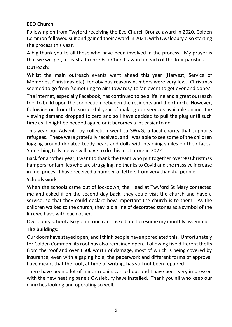## **ECO Church:**

Following on from Twyford receiving the Eco Church Bronze award in 2020, Colden Common followed suit and gained their award in 2021, with Owslebury also starting the process this year.

A big thank you to all those who have been involved in the process. My prayer is that we will get, at least a bronze Eco-Church award in each of the four parishes.

#### **Outreach:**

Whilst the main outreach events went ahead this year (Harvest, Service of Memories, Christmas etc), for obvious reasons numbers were very low. Christmas seemed to go from 'something to aim towards,' to 'an event to get over and done.'

The internet, especially Facebook, has continued to be a lifeline and a great outreach tool to build upon the connection between the residents and the church. However, following on from the successful year of making our services available online, the viewing demand dropped to zero and so I have decided to pull the plug until such time as it might be needed again, or it becomes a lot easier to do.

This year our Advent Toy collection went to SWVG, a local charity that supports refugees. These were gratefully received, and I was able to see some of the children lugging around donated teddy bears and dolls with beaming smiles on their faces. Something tells me we will have to do this a lot more in 2022!

Back for another year, I want to thank the team who put together over 90 Christmas hampers for families who are struggling, no thanks to Covid and the massive increase in fuel prices. I have received a number of letters from very thankful people.

#### **Schools work**

When the schools came out of lockdown, the Head at Twyford St Mary contacted me and asked if on the second day back, they could visit the church and have a service, so that they could declare how important the church is to them. As the children walked to the church, they laid a line of decorated stones as a symbol of the link we have with each other.

Owslebury school also got in touch and asked me to resume my monthly assemblies.

#### **The buildings:**

Our doors have stayed open, and I think people have appreciated this. Unfortunately for Colden Common, its roof has also remained open. Following five different thefts from the roof and over £50k worth of damage, most of which is being covered by insurance, even with a gaping hole, the paperwork and different forms of approval have meant that the roof, at time of writing, has still not been repaired.

There have been a lot of minor repairs carried out and I have been very impressed with the new heating panels Owslebury have installed. Thank you all who keep our churches looking and operating so well.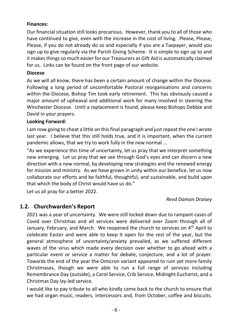#### **Finances:**

Our financial situation still looks precarious. However, thank you to all of those who have continued to give, even with the increase in the cost of living. Please, Please, Please, if you do not already do so and especially if you are a Taxpayer, would you sign up to give regularly via the Parish Giving Scheme. It is simple to sign up to and it makes things so much easier for our Treasurers as Gift Aid is automatically claimed for us. Links can be found on the front page of our website.

#### **Diocese**

As we will all know, there has been a certain amount of change within the Diocese. Following a long period of uncomfortable Pastoral reorganisations and concerns within the Diocese, Bishop Tim took early retirement. This has obviously caused a major amount of upheaval and additional work for many involved in steering the Winchester Diocese. Until a replacement is found, please keep Bishops Debbie and David in your prayers.

#### **Looking Forward:**

I am now going to cheat a little on this final paragraph and just repeat the one I wrote last year. I believe that this still holds true, and it is important, when the current pandemic allows, that we try to work fully in the new normal …

"As we experience this time of uncertainty, let us pray that we interpret something new emerging. Let us pray that we see through God's eyes and can discern a new direction with a new normal, by developing new strategies and the renewed energy for mission and ministry. As we have grown in unity within our benefice, let us now collaborate our efforts and be faithful, thoughtful, and sustainable, and build upon that which the body of Christ would have us do."

Let us all pray for a better 2022.

*Revd Damon Draisey*

## <span id="page-6-0"></span>**1.2. Churchwarden's Report**

2021 was a year of uncertainty. We were still locked down due to rampant cases of Covid over Christmas and all services were delivered over Zoom through all of January, February, and March. We reopened the church to services on  $4<sup>th</sup>$  April to celebrate Easter and were able to keep it open for the rest of the year, but the general atmosphere of uncertainty/anxiety prevailed, as we suffered different waves of the virus which made every decision over whether to go ahead with a particular event or service a matter for debate, conjecture, and a lot of prayer. Towards the end of the year the Omicron variant appeared to ruin yet more family Christmases, though we were able to run a full range of services including Remembrance Day (outside), a Carol Service, Crib Service, Midnight Eucharist, and a Christmas Day lay-led service.

I would like to pay tribute to all who kindly came back to the church to ensure that we had organ music, readers, intercessors and, from October, coffee and biscuits.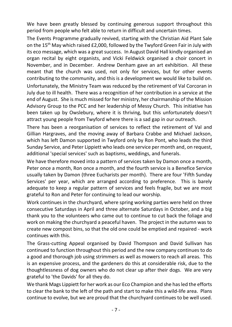We have been greatly blessed by continuing generous support throughout this period from people who felt able to return in difficult and uncertain times.

The Events Programme gradually revived, starting with the Christian Aid Plant Sale on the 15th May which raised £2,000, followed by the Twyford Green Fair in July with its eco message, which was a great success. In August David Hall kindly organised an organ recital by eight organists, and Vicki Feldwick organised a choir concert in November, and in December. Andrew Denham gave an art exhibition. All these meant that the church was used, not only for services, but for other events contributing to the community, and this is a development we would like to build on.

Unfortunately, the Ministry Team was reduced by the retirement of Val Corcoran in July due to ill health. There was a recognition of her contribution in a service at the end of August. She is much missed for her ministry, her chairmanship of the Mission Advisory Group to the PCC and her leadership of Messy Church. This initiative has been taken up by Owslebury, where it is thriving, but this unfortunately doesn't attract young people from Twyford where there is a sad gap in our outreach.

There has been a reorganisation of services to reflect the retirement of Val and Gillian Hargraves, and the moving away of Barbara Crabbe and Michael Jackson, which has left Damon supported in Twyford only by Ron Pont, who leads the third Sunday Service, and Peter Lippiett who leads one service per month and, on request, additional 'special services' such as baptisms, weddings, and funerals.

We have therefore moved into a pattern of services taken by Damon once a month, Peter once a month, Ron once a month, and the fourth service is a Benefice Service usually taken by Damon (three Eucharists per month). There are four 'Fifth Sunday Services' per year, which are arranged according to preference. This is barely adequate to keep a regular pattern of services and feels fragile, but we are most grateful to Ron and Peter for continuing to lead our worship.

Work continues in the churchyard, where spring working parties were held on three consecutive Saturdays in April and three alternate Saturdays in October, and a big thank you to the volunteers who came out to continue to cut back the foliage and work on making the churchyard a peaceful haven. The project in the autumn was to create new compost bins, so that the old one could be emptied and repaired - work continues with this.

The Grass-cutting Appeal organised by David Thompson and David Sullivan has continued to function throughout this period and the new company continues to do a good and thorough job using strimmers as well as mowers to reach all areas. This is an expensive process, and the gardeners do this at considerable risk, due to the thoughtlessness of dog owners who do not clear up after their dogs. We are very grateful to 'the Davids' for all they do.

We thank Mags Lippiett for her work as our Eco Champion and she has led the efforts to clear the bank to the left of the path and start to make this a wild-life area. Plans continue to evolve, but we are proud that the churchyard continues to be well used.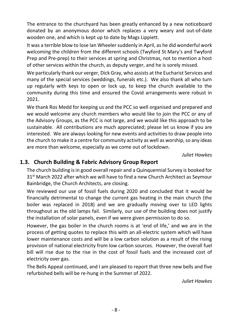The entrance to the churchyard has been greatly enhanced by a new noticeboard donated by an anonymous donor which replaces a very weary and out-of-date wooden one, and which is kept up to date by Mags Lippiett.

It was a terrible blow to lose Ian Wheeler suddenly in April, as he did wonderful work welcoming the children from the different schools (Twyford St Mary's and Twyford Prep and Pre-prep) to their services at spring and Christmas, not to mention a host of other services within the church, as deputy verger, and he is sorely missed.

We particularly thank our verger, Dick Gray, who assists at the Eucharist Services and many of the special services (weddings, funerals etc.). We also thank all who turn up regularly with keys to open or lock up, to keep the church available to the community during this time and ensured the Covid arrangements were robust in 2021.

We thank Ros Medd for keeping us and the PCC so well organised and prepared and we would welcome any church members who would like to join the PCC or any of the Advisory Groups, as the PCC is not large, and we would like this approach to be sustainable. All contributions are much appreciated; please let us know if you are interested. We are always looking for new events and activities to draw people into the church to make it a centre for community activity as well as worship, so any ideas are more than welcome, especially as we come out of lockdown.

*Juliet Hawkes*

## <span id="page-8-0"></span>**1.3. Church Building & Fabric Advisory Group Report**

The church building is in good overall repair and a Quinquennial Survey is booked for 31<sup>st</sup> March 2022 after which we will have to find a new Church Architect as Seymour Bainbridge, the Church Architects, are closing.

We reviewed our use of fossil fuels during 2020 and concluded that it would be financially detrimental to change the current gas heating in the main church (the boiler was replaced in 2018) and we are gradually moving over to LED lights throughout as the old lamps fail. Similarly, our use of the building does not justify the installation of solar panels, even if we were given permission to do so.

However, the gas boiler in the church rooms is at 'end of life,' and we are in the process of getting quotes to replace this with an all-electric system which will have lower maintenance costs and will be a low carbon solution as a result of the rising provision of national electricity from low carbon sources. However, the overall fuel bill will rise due to the rise in the cost of fossil fuels and the increased cost of electricity over gas.

The Bells Appeal continued, and I am pleased to report that three new bells and five refurbished bells will be re-hung in the Summer of 2022.

*Juliet Hawkes*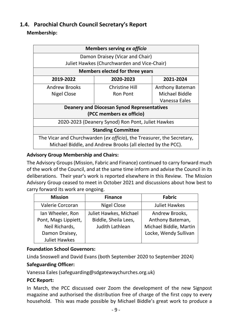## <span id="page-9-0"></span>**1.4. Parochial Church Council Secretary's Report**

#### **Membership:**

| Members serving ex officio                                             |                                             |                        |  |  |  |
|------------------------------------------------------------------------|---------------------------------------------|------------------------|--|--|--|
| Damon Draisey (Vicar and Chair)                                        |                                             |                        |  |  |  |
|                                                                        | Juliet Hawkes (Churchwarden and Vice-Chair) |                        |  |  |  |
| <b>Members elected for three years</b>                                 |                                             |                        |  |  |  |
| 2019-2022                                                              | 2020-2023                                   | 2021-2024              |  |  |  |
| <b>Andrew Brooks</b>                                                   | <b>Christine Hill</b>                       | <b>Anthony Bateman</b> |  |  |  |
| Nigel Close                                                            | <b>Ron Pont</b>                             | Michael Biddle         |  |  |  |
| Vanessa Eales                                                          |                                             |                        |  |  |  |
| <b>Deanery and Diocesan Synod Representatives</b>                      |                                             |                        |  |  |  |
| (PCC members ex officio)                                               |                                             |                        |  |  |  |
| 2020-2023 (Deanery Synod) Ron Pont, Juliet Hawkes                      |                                             |                        |  |  |  |
| <b>Standing Committee</b>                                              |                                             |                        |  |  |  |
| The Vicar and Churchwarden (ex officio), the Treasurer, the Secretary, |                                             |                        |  |  |  |
| Michael Biddle, and Andrew Brooks (all elected by the PCC).            |                                             |                        |  |  |  |

#### **Advisory Group Membership and Chairs:**

The Advisory Groups (Mission, Fabric and Finance) continued to carry forward much of the work of the Council, and at the same time inform and advise the Council in its deliberations. Their year's work is reported elsewhere in this Review. The Mission Advisory Group ceased to meet in October 2021 and discussions about how best to carry forward its work are ongoing.

| <b>Mission</b>       | <b>Finance</b>         | <b>Fabric</b>          |
|----------------------|------------------------|------------------------|
| Valerie Corcoran     | <b>Nigel Close</b>     | <b>Juliet Hawkes</b>   |
| Ian Wheeler, Ron     | Juliet Hawkes, Michael | Andrew Brooks,         |
| Pont, Mags Lippiett, | Biddle, Sheila Lees,   | Anthony Bateman,       |
| Neil Richards,       | Judith Lathlean        | Michael Biddle, Martin |
| Damon Draisey,       |                        | Locke, Wendy Sullivan  |
| <b>Juliet Hawkes</b> |                        |                        |

#### **Foundation School Governors:**

Linda Snoswell and David Evans (both September 2020 to September 2024)

## **Safeguarding Officer:**

Vanessa Eales (safeguarding@sdgatewaychurches.org.uk)

#### **PCC Report:**

In March, the PCC discussed over Zoom the development of the new Signpost magazine and authorised the distribution free of charge of the first copy to every household. This was made possible by Michael Biddle's great work to produce a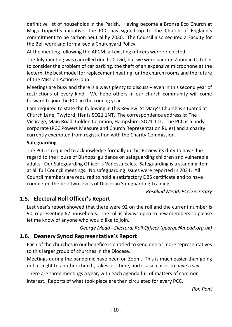definitive list of households in the Parish. Having become a Bronze Eco Church at Mags Lippiett's initiative, the PCC has signed up to the Church of England's commitment to be carbon neutral by 2030. The Council also secured a Faculty for the Bell work and formalised a Churchyard Policy.

At the meeting following the APCM, all existing officers were re-elected.

The July meeting was cancelled due to Covid, but we were back on Zoom in October to consider the problem of car parking, the theft of an expensive microphone at the lectern, the best model for replacement heating for the church rooms and the future of the Mission Action Group.

Meetings are busy and there is always plenty to discuss – even in this second year of restrictions of every kind. We hope others in our church community will come forward to join the PCC in the coming year.

I am required to state the following in this Review: St Mary's Church is situated at Church Lane, Twyford, Hants SO21 1NT. The correspondence address is: The Vicarage, Main Road, Colden Common, Hampshire, SO21 1TL. The PCC is a body corporate (PCC Powers Measure and Church Representation Rules) and a charity currently exempted from registration with the Charity Commission.

#### **Safeguarding**

The PCC is required to acknowledge formally in this Review its duty to have due regard to the House of Bishops' guidance on safeguarding children and vulnerable adults. Our Safeguarding Officer is Vanessa Eales. Safeguarding is a standing item at all full Council meetings. No safeguarding issues were reported in 2021. All Council members are required to hold a satisfactory DBS certificate and to have completed the first two levels of Diocesan Safeguarding Training.

*Rosalind Medd, PCC Secretary*

## <span id="page-10-0"></span>**1.5. Electoral Roll Officer's Report**

Last year's report showed that there were 92 on the roll and the current number is 90, representing 67 households. The roll is always open to new members so please let me know of anyone who would like to join.

*George Medd - Electoral Roll Officer (george@medd.org.uk)*

## <span id="page-10-1"></span>**1.6. Deanery Synod Representative's Report**

Each of the churches in our benefice is entitled to send one or more representatives to this larger group of churches in the Diocese.

Meetings during the pandemic have been on Zoom. This is much easier than going out at night to another church, takes less time, and is also easier to have a say.

There are three meetings a year, with each agenda full of matters of common

interest. Reports of what took place are then circulated for every PCC.

*Ron Pont*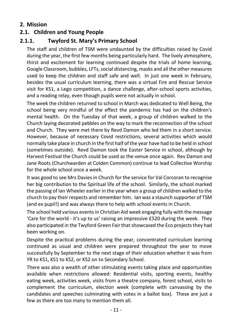## <span id="page-11-0"></span>**2. Mission**

## <span id="page-11-1"></span>**2.1. Children and Young People**

## <span id="page-11-2"></span>**2.1.1. Twyford St. Mary's Primary School**

The staff and children of TSM were undaunted by the difficulties raised by Covid during the year, the first few months being particularly hard. The lively atmosphere, thirst and excitement for learning continued despite the trials of home learning, Google Classroom, bubbles, LFTs, social distancing, masks and all the other measures used to keep the children and staff safe and well. In just one week in February, besides the usual curriculum learning, there was a virtual Fire and Rescue Service visit for KS1, a Lego competition, a dance challenge, after-school sports activities, and a reading relay, even though pupils were not actually in school.

The week the children returned to school in March was dedicated to Well Being, the school being very mindful of the effect the pandemic has had on the children's mental health. On the Tuesday of that week, a group of children walked to the Church laying decorated pebbles on the way to mark the reconnection of the school and Church. They were met there by Revd Damon who led them in a short service. However, because of necessary Covid restrictions, several activities which would normally take place in church in the first half of the year have had to be held in school (sometimes outside). Revd Damon took the Easter Service in school, although by Harvest Festival the Church could be used as the venue once again. Rev Damon and Jane Roots (Churchwarden at Colden Common) continue to lead Collective Worship for the whole school once a week.

It was good to see Mrs Davies in Church for the service for Val Corcoran to recognise her big contribution to the Spiritual life of the school. Similarly, the school marked the passing of Ian Wheeler earlier in the year when a group of children walked to the church to pay their respects and remember him. Ian was a staunch supporter of TSM (and ex pupil!) and was always there to help with school events in Church.

The school held various events in Christian Aid week engaging fully with the message 'Care for the world - it's up to us' raising an impressive £520 during the week. They also participated in the Twyford Green Fair that showcased the Eco projects they had been working on.

Despite the practical problems during the year, concentrated curriculum learning continued as usual and children were prepared throughout the year to move successfully by September to the next stage of their education whether it was from YR to KS1, KS1 to KS2, or KS2 on to Secondary School.

There was also a wealth of other stimulating events taking place and opportunities available when restrictions allowed: Residential visits, sporting events, healthy eating week, activities week, visits from a theatre company, forest school, visits to complement the curriculum, election week (complete with canvassing by the candidates and speeches culminating with votes in a ballot box). These are just a few as there are too many to mention them all.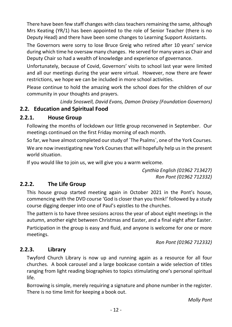There have been few staff changes with class teachers remaining the same, although Mrs Keating (YR/1) has been appointed to the role of Senior Teacher (there is no Deputy Head) and there have been some changes to Learning Support Assistants.

The Governors were sorry to lose Bruce Greig who retired after 10 years' service during which time he oversaw many changes. He served for many years as Chair and Deputy Chair so had a wealth of knowledge and experience of governance.

Unfortunately, because of Covid, Governors' visits to school last year were limited and all our meetings during the year were virtual. However, now there are fewer restrictions, we hope we can be included in more school activities.

Please continue to hold the amazing work the school does for the children of our community in your thoughts and prayers.

*Linda Snoswell, David Evans, Damon Draisey (Foundation Governors)*

## <span id="page-12-0"></span>**2.2. Education and Spiritual Food**

## <span id="page-12-1"></span>**2.2.1. House Group**

Following the months of lockdown our little group reconvened in September. Our meetings continued on the first Friday morning of each month.

So far, we have almost completed our study of `The Psalms`, one of the York Courses.

We are now investigating new York Courses that will hopefully help us in the present world situation.

If you would like to join us, we will give you a warm welcome.

*Cynthia English (01962 713427) Ron Pont (01962 712332)*

## <span id="page-12-2"></span>**2.2.2. The Life Group**

This house group started meeting again in October 2021 in the Pont's house, commencing with the DVD course 'God is closer than you think!' followed by a study course digging deeper into one of Paul's epistles to the churches.

The pattern is to have three sessions across the year of about eight meetings in the autumn, another eight between Christmas and Easter, and a final eight after Easter. Participation in the group is easy and fluid, and anyone is welcome for one or more

*Ron Pont (01962 712332)*

## <span id="page-12-3"></span>**2.2.3. Library**

meetings.

Twyford Church Library is now up and running again as a resource for all four churches. A book carousel and a large bookcase contain a wide selection of titles ranging from light reading biographies to topics stimulating one's personal spiritual life.

Borrowing is simple, merely requiring a signature and phone number in the register. There is no time limit for keeping a book out.

*Molly Pont*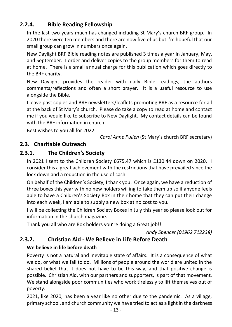## <span id="page-13-0"></span>**2.2.4. Bible Reading Fellowship**

In the last two years much has changed including St Mary's church BRF group. In 2020 there were ten members and there are now five of us but I'm hopeful that our small group can grow in numbers once again.

New Daylight BRF Bible reading notes are published 3 times a year in January, May, and September. I order and deliver copies to the group members for them to read at home. There is a small annual charge for this publication which goes directly to the BRF charity.

New Daylight provides the reader with daily Bible readings, the authors comments/reflections and often a short prayer. It is a useful resource to use alongside the Bible.

I leave past copies and BRF newsletters/leaflets promoting BRF as a resource for all at the back of St Mary's church. Please do take a copy to read at home and contact me if you would like to subscribe to New Daylight. My contact details can be found with the BRF information in church.

Best wishes to you all for 2022.

*Carol Anne Pullen* (St Mary's church BRF secretary)

## <span id="page-13-1"></span>**2.3. Charitable Outreach**

## <span id="page-13-2"></span>**2.3.1. The Children's Society**

In 2021 I sent to the Children Society £675.47 which is £130.44 down on 2020. I consider this a great achievement with the restrictions that have prevailed since the lock down and a reduction in the use of cash.

On behalf of the Children's Society, I thank you. Once again, we have a reduction of three boxes this year with no new holders willing to take them up so if anyone feels able to have a Children's Society Box in their home that they can put their change into each week, I am able to supply a new box at no cost to you.

I will be collecting the Children Society Boxes in July this year so please look out for information in the church magazine.

Thank you all who are Box holders you're doing a Great job!!

*Andy Spencer (01962 712238)*

## <span id="page-13-3"></span>**2.3.2. Christian Aid - We Believe in Life Before Death**

## **We believe in life before death**

Poverty is not a natural and inevitable state of affairs. It is a consequence of what we do, or what we fail to do. Millions of people around the world are united in the shared belief that it does not have to be this way, and that positive change is possible. Christian Aid, with our partners and supporters, is part of that movement. We stand alongside poor communities who work tirelessly to lift themselves out of poverty.

2021, like 2020, has been a year like no other due to the pandemic. As a village, primary school, and church community we have tried to act as a light in the darkness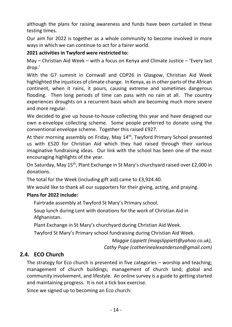although the plans for raising awareness and funds have been curtailed in these testing times.

Our aim for 2022 is together as a whole community to become involved in more ways in which we can continue to act for a fairer world.

#### **2021 activities in Twyford were restricted to:**

May – Christian Aid Week – with a focus on Kenya and Climate Justice – 'Every last drop.'

With the G7 summit in Cornwall and COP26 in Glasgow, Christian Aid Week highlighted the injustices of climate change. In Kenya, as in other parts of the African continent, when it rains, it pours, causing extreme and sometimes dangerous flooding. Then long periods of time can pass with no rain at all. The country experiences droughts on a recurrent basis which are becoming much more severe and more regular.

We decided to give up house-to-house collecting this year and have designed our own e-envelope collecting scheme. Some people preferred to donate using the conventional envelope scheme. Together this raised £927.

At their morning assembly on Friday, May 14<sup>th</sup>, Twyford Primary School presented us with £520 for Christian Aid which they had raised through their various imaginative fundraising ideas. Our link with the school has been one of the most encouraging highlights of the year.

On Saturday, May 15<sup>th</sup>, Plant Exchange in St Mary's churchyard raised over £2,000 in donations.

The total for the Week (including gift aid) came to £3,924.40.

We would like to thank all our supporters for their giving, acting, and praying.

## **Plans for 2022 include:**

Fairtrade assembly at Twyford St Mary's Primary school.

Soup lunch during Lent with donations for the work of Christian Aid in Afghanistan.

Plant Exchange in St Mary's churchyard during Christian Aid Week.

Twyford St Mary's Primary school fundraising during Christian Aid Week.

*Maggie Lippiett (magslippiett@yahoo.co.uk), Cathy Pope (catherinealexanderson@gmail.com)*

## <span id="page-14-0"></span>**2.4. ECO Church**

The strategy for Eco church is presented in five categories – worship and teaching; management of church buildings; management of church land; global and community involvement, and lifestyle. An online survey is a guide to getting started and maintaining progress. It is not a tick box exercise.

Since we signed up to becoming an Eco church: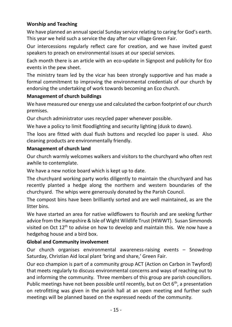#### **Worship and Teaching**

We have planned an annual special Sunday service relating to caring for God's earth. This year we held such a service the day after our village Green Fair.

Our intercessions regularly reflect care for creation, and we have invited guest speakers to preach on environmental issues at our special services.

Each month there is an article with an eco-update in Signpost and publicity for Eco events in the pew sheet.

The ministry team led by the vicar has been strongly supportive and has made a formal commitment to improving the environmental credentials of our church by endorsing the undertaking of work towards becoming an Eco church.

#### **Management of church buildings**

We have measured our energy use and calculated the carbon footprint of our church premises.

Our church administrator uses recycled paper whenever possible.

We have a policy to limit floodlighting and security lighting (dusk to dawn).

The loos are fitted with dual flush buttons and recycled loo paper is used. Also cleaning products are environmentally friendly.

#### **Management of church land**

Our church warmly welcomes walkers and visitors to the churchyard who often rest awhile to contemplate.

We have a new notice board which is kept up to date.

The churchyard working party works diligently to maintain the churchyard and has recently planted a hedge along the northern and western boundaries of the churchyard. The whips were generously donated by the Parish Council.

The compost bins have been brilliantly sorted and are well maintained, as are the litter bins.

We have started an area for native wildflowers to flourish and are seeking further advice from the Hampshire & Isle of Wight Wildlife Trust (HIWWT). Susan Simmonds visited on Oct  $12<sup>th</sup>$  to advise on how to develop and maintain this. We now have a hedgehog house and a bird box.

#### **Global and Community involvement**

Our church organises environmental awareness-raising events – Snowdrop Saturday, Christian Aid local plant 'bring and share,' Green Fair.

Our eco champion is part of a community group ACT (Action on Carbon in Twyford) that meets regularly to discuss environmental concerns and ways of reaching out to and informing the community. Three members of this group are parish councillors. Public meetings have not been possible until recently, but on Oct 6<sup>th</sup>, a presentation on retrofitting was given in the parish hall at an open meeting and further such meetings will be planned based on the expressed needs of the community.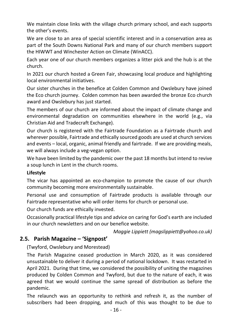We maintain close links with the village church primary school, and each supports the other's events.

We are close to an area of special scientific interest and in a conservation area as part of the South Downs National Park and many of our church members support the HIWWT and Winchester Action on Climate (WinACC).

Each year one of our church members organizes a litter pick and the hub is at the church.

In 2021 our church hosted a Green Fair, showcasing local produce and highlighting local environmental initiatives.

Our sister churches in the benefice at Colden Common and Owslebury have joined the Eco church journey. Colden common has been awarded the bronze Eco church award and Owslebury has just started.

The members of our church are informed about the impact of climate change and environmental degradation on communities elsewhere in the world (e.g., via Christian Aid and Tradecraft Exchange).

Our church is registered with the Fairtrade Foundation as a Fairtrade church and wherever possible, Fairtrade and ethically sourced goods are used at church services and events – local, organic, animal friendly and fairtrade. If we are providing meals, we will always include a veg-vegan option.

We have been limited by the pandemic over the past 18 months but intend to revive a soup lunch in Lent in the church rooms.

#### **Lifestyle**

The vicar has appointed an eco-champion to promote the cause of our church community becoming more environmentally sustainable.

Personal use and consumption of Fairtrade products is available through our Fairtrade representative who will order items for church or personal use.

Our church funds are ethically invested.

Occasionally practical lifestyle tips and advice on caring for God's earth are included in our church newsletters and on our benefice website.

*Maggie Lippiett (magslippiett@yahoo.co.uk)*

## <span id="page-16-0"></span>**2.5. Parish Magazine – 'Signpost'**

(Twyford, Owslebury and Morestead)

The Parish Magazine ceased production in March 2020, as it was considered unsustainable to deliver it during a period of national lockdown. It was restarted in April 2021. During that time, we considered the possibility of uniting the magazines produced by Colden Common and Twyford, but due to the nature of each, it was agreed that we would continue the same spread of distribution as before the pandemic.

The relaunch was an opportunity to rethink and refresh it, as the number of subscribers had been dropping, and much of this was thought to be due to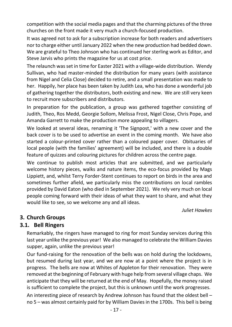competition with the social media pages and that the charming pictures of the three churches on the front made it very much a church-focused production.

It was agreed not to ask for a subscription increase for both readers and advertisers nor to charge either until January 2022 when the new production had bedded down. We are grateful to Theo Johnson who has continued her sterling work as Editor, and Steve Jarvis who prints the magazine for us at cost price.

The relaunch was set in time for Easter 2021 with a village-wide distribution. Wendy Sullivan, who had master-minded the distribution for many years (with assistance from Nigel and Celia Close) decided to retire, and a small presentation was made to her. Happily, her place has been taken by Judith Lea, who has done a wonderful job of gathering together the distributors, both existing and new. We are still very keen to recruit more subscribers and distributors.

In preparation for the publication, a group was gathered together consisting of Judith, Theo, Ros Medd, Georgie Sollom, Melissa Frost, Nigel Close, Chris Pope, and Amanda Garrett to make the production more appealing to villagers.

We looked at several ideas, renaming it 'The Signpost,' with a new cover and the back cover is to be used to advertise an event in the coming month. We have also started a colour-printed cover rather than a coloured paper cover. Obituaries of local people (with the families' agreement) will be included, and there is a double feature of quizzes and colouring pictures for children across the centre page.

We continue to publish most articles that are submitted, and we particularly welcome history pieces, walks and nature items, the eco-focus provided by Mags Lippiett, and, whilst Terry Forder-Stent continues to report on birds in the area and sometimes further afield, we particularly miss the contributions on local rambles provided by David Eaton (who died in September 2021). We rely very much on local people coming forward with their ideas of what they want to share, and what they would like to see, so we welcome any and all ideas.

*Juliet Hawkes*

## <span id="page-17-0"></span>**3. Church Groups**

## <span id="page-17-1"></span>**3.1. Bell Ringers**

Remarkably, the ringers have managed to ring for most Sunday services during this last year unlike the previous year! We also managed to celebrate the William Davies supper, again, unlike the previous year!

Our fund-raising for the renovation of the bells was on hold during the lockdowns, but resumed during last year, and we are now at a point where the project is in progress. The bells are now at Whites of Appleton for their renovation. They were removed at the beginning of February with huge help from several village chaps. We anticipate that they will be returned at the end of May. Hopefully, the money raised is sufficient to complete the project, but this is unknown until the work progresses.

An interesting piece of research by Andrew Johnson has found that the oldest bell – no 5 – was almost certainly paid for by William Davies in the 1700s. This bell is being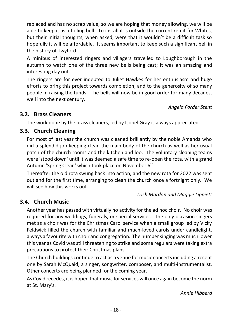replaced and has no scrap value, so we are hoping that money allowing, we will be able to keep it as a tolling bell. To install it is outside the current remit for Whites, but their initial thoughts, when asked, were that it wouldn't be a difficult task so hopefully it will be affordable. It seems important to keep such a significant bell in the history of Twyford.

A minibus of interested ringers and villagers travelled to Loughborough in the autumn to watch one of the three new bells being cast; it was an amazing and interesting day out.

The ringers are for ever indebted to Juliet Hawkes for her enthusiasm and huge efforts to bring this project towards completion, and to the generosity of so many people in raising the funds. The bells will now be in good order for many decades, well into the next century.

*Angela Forder Stent*

## <span id="page-18-0"></span>**3.2. Brass Cleaners**

The work done by the brass cleaners, led by Isobel Gray is always appreciated.

## <span id="page-18-1"></span>**3.3. Church Cleaning**

For most of last year the church was cleaned brilliantly by the noble Amanda who did a splendid job keeping clean the main body of the church as well as her usual patch of the church rooms and the kitchen and loo. The voluntary cleaning teams were 'stood down' until it was deemed a safe time to re-open the rota, with a grand Autumn 'Spring Clean' which took place on November 6<sup>th</sup>.

Thereafter the old rota swung back into action, and the new rota for 2022 was sent out and for the first time, arranging to clean the church once a fortnight only. We will see how this works out.

*Trish Mardon and Maggie Lippiett*

## <span id="page-18-2"></span>**3.4. Church Music**

Another year has passed with virtually no activity for the ad hoc choir. No choir was required for any weddings, funerals, or special services. The only occasion singers met as a choir was for the Christmas Carol service when a small group led by Vicky Feldwick filled the church with familiar and much-loved carols under candlelight, always a favourite with choir and congregation. The number singing was much lower this year as Covid was still threatening to strike and some regulars were taking extra precautions to protect their Christmas plans.

The Church buildings continue to act as a venue for music concerts including a recent one by Sarah McQuaid, a singer, songwriter, composer, and multi-instrumentalist. Other concerts are being planned for the coming year.

As Covid recedes, it is hoped that music for services will once again become the norm at St. Mary's.

*Annie Hibberd*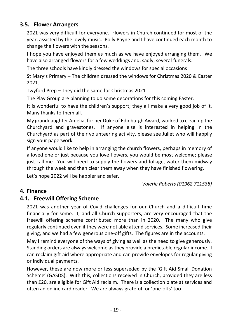## <span id="page-19-0"></span>**3.5. Flower Arrangers**

2021 was very difficult for everyone. Flowers in Church continued for most of the year, assisted by the lovely music. Polly Payne and I have continued each month to change the flowers with the seasons.

I hope you have enjoyed them as much as we have enjoyed arranging them. We have also arranged flowers for a few weddings and, sadly, several funerals.

The three schools have kindly dressed the windows for special occasions:

St Mary's Primary – The children dressed the windows for Christmas 2020 & Easter 2021.

Twyford Prep – They did the same for Christmas 2021

The Play Group are planning to do some decorations for this coming Easter.

It is wonderful to have the children's support; they all make a very good job of it. Many thanks to them all.

My granddaughter Amelia, for her Duke of Edinburgh Award, worked to clean up the Churchyard and gravestones. If anyone else is interested in helping in the Churchyard as part of their volunteering activity, please see Juliet who will happily sign your paperwork.

If anyone would like to help in arranging the church flowers, perhaps in memory of a loved one or just because you love flowers, you would be most welcome; please just call me. You will need to supply the flowers and foliage, water them midway through the week and then clear them away when they have finished flowering. Let's hope 2022 will be happier and safer.

*Valerie Roberts (01962 711538)*

#### <span id="page-19-1"></span>**4. Finance**

#### <span id="page-19-2"></span>**4.1. Freewill Offering Scheme**

2021 was another year of Covid challenges for our Church and a difficult time financially for some. I, and all Church supporters, are very encouraged that the freewill offering scheme contributed more than in 2020. The many who give regularly continued even if they were not able attend services. Some increased their giving, and we had a few generous one-off gifts. The figures are in the accounts.

May I remind everyone of the ways of giving as well as the need to give generously. Standing orders are always welcome as they provide a predictable regular income. I can reclaim gift aid where appropriate and can provide envelopes for regular giving or individual payments.

However, these are now more or less superseded by the 'Gift Aid Small Donation Scheme' (GASDS). With this, collections received in Church, provided they are less than £20, are eligible for Gift Aid reclaim. There is a collection plate at services and often an online card reader. We are always grateful for 'one-offs' too!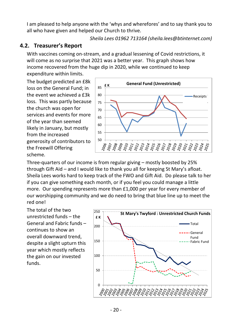I am pleased to help anyone with the 'whys and wherefores' and to say thank you to all who have given and helped our Church to thrive.

*Sheila Lees 01962 713164 (sheila.lees@btinternet.com)*

## <span id="page-20-0"></span>**4.2. Treasurer's Report**

With vaccines coming on-stream, and a gradual lessening of Covid restrictions, it will come as no surprise that 2021 was a better year. This graph shows how income recovered from the huge dip in 2020, while we continued to keep expenditure within limits.

The budget predicted an £8k loss on the General Fund; in the event we achieved a £3k loss. This was partly because the church was open for services and events for more of the year than seemed likely in January, but mostly from the increased generosity of contributors to the Freewill Offering scheme.



Three-quarters of our income is from regular giving – mostly boosted by 25% through Gift Aid – and I would like to thank you all for keeping St Mary's afloat. Sheila Lees works hard to keep track of the FWO and Gift Aid. Do please talk to her if you can give something each month, or if you feel you could manage a little more. Our spending represents more than £1,000 per year for every member of our worshipping community and we do need to bring that blue line up to meet the red one!

The total of the two unrestricted funds – the General and Fabric funds – continues to show an overall downward trend, despite a slight upturn this year which mostly reflects the gain on our invested funds.

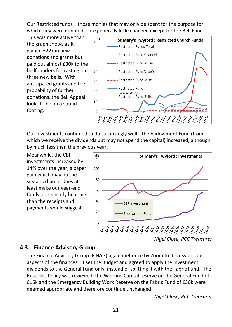Our Restricted funds – those monies that may only be spent for the purpose for which they were donated – are generally little changed except for the Bell Fund.

This was more active than the graph shows as it gained £22k in new donations and grants but paid out almost £30k to the bellfounders for casting our three new bells. With anticipated grants and the probability of further donations, the Bell Appeal looks to be on a sound footing.



Our investments continued to do surprisingly well. The Endowment Fund (from which we receive the dividends but may not spend the capital) increased, although by much less than the previous year.

Meanwhile, the CBF investments increased by 14% over the year; a paper gain which may not be sustained but it does at least make our year-end funds look slightly healthier than the receipts and payments would suggest.



*Nigel Close, PCC Treasurer*

## <span id="page-21-0"></span>**4.3. Finance Advisory Group**

The Finance Advisory Group (FINAG) again met once by Zoom to discuss various aspects of the finances. It set the Budget and agreed to apply the investment dividends to the General Fund only, instead of splitting it with the Fabric Fund. The Reserves Policy was reviewed: the Working Capital reserve on the General Fund of £16k and the Emergency Building Work Reserve on the Fabric Fund of £30k were deemed appropriate and therefore continue unchanged.

*Nigel Close, PCC Treasurer*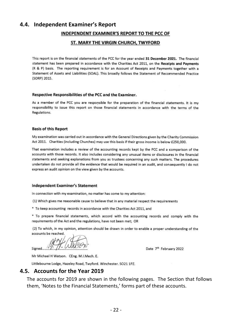#### <span id="page-22-0"></span>**4.4. Independent Examiner's Report**

#### INDEPENDENT EXAMINER'S REPORT TO THE PCC OF

#### ST. MARY THE VIRGIN CHURCH, TWYFORD

This report is on the financial statements of the PCC for the year ended 31 December 2021. The financial statement has been prepared in accordance with the Charities Act 2011, on the Receipts and Payments (R & P) basis. The reporting requirement is for an Account of Receipts and Payments together with a Statement of Assets and Liabilities (SOAL). This broadly follows the Statement of Recommended Practice (SORP) 2015.

#### Respective Responsibilities of the PCC and the Examiner.

As a member of the PCC you are responsible for the preparation of the financial statements. It is my responsibility to issue this report on those financial statements in accordance with the terms of the Regulations.

#### **Basis of this Report**

My examination was carried out in accordance with the General Directions given by the Charity Commission Act 2011. Charities (including Churches) may use this basis if their gross income is below £250,000.

That examination includes a review of the accounting records kept by the PCC and a comparison of the accounts with those records. It also includes considering any unusual items or disclosures in the financial statements and seeking explanations from you as trustees concerning any such matters. The procedures undertaken do not provide all the evidence that would be required in an audit, and consequently I do not express an audit opinion on the view given by the accounts.

#### **Independent Examiner's Statement**

In connection with my examination, no matter has come to my attention:

(1) Which gives me reasonable cause to believe that in any material respect the requirements

\* To keep accounting records in accordance with the Charities Act 2011, and

\* To prepare financial statements, which accord with the accounting records and comply with the requirements of the Act and the regulations, have not been met; OR

(2) To which, in my opinion, attention should be drawn in order to enable a proper understanding of the accounts be reached.

Signed....

Date 7th February 2022

Mr Michael H Watson. CEng. M.I.Mech. E.

Littlebourne Lodge, Hazeley Road, Twyford. Winchester. SO21 1PZ.

#### <span id="page-22-1"></span>**4.5. Accounts for the Year 2019**

The accounts for 2019 are shown in the following pages. The Section that follows them, 'Notes to the Financial Statements,' forms part of these accounts.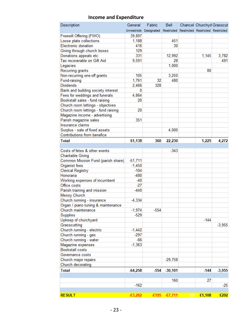| Description                                   | General   | Fabric                                                             | Bell      |    | Chancel Churchyd Grasscut |          |
|-----------------------------------------------|-----------|--------------------------------------------------------------------|-----------|----|---------------------------|----------|
|                                               |           | Unrestricte Designated Restricted Restricted Restricted Restricted |           |    |                           |          |
| Freewill Offering (FWO)                       | 39,897    |                                                                    |           |    |                           |          |
| Loose plate collections                       | 1,188     |                                                                    | 451       |    |                           |          |
| Electronic donation                           | 416       |                                                                    | 30        |    |                           |          |
| Giving through church boxes                   | 129       |                                                                    |           |    |                           |          |
| Donations appeals etc                         | 331       |                                                                    | 12,992    |    | 1,145                     | 3,782    |
| Tax recoverable on Gift Aid                   | 9.591     |                                                                    | 28        |    |                           | 491      |
| Legacies                                      |           |                                                                    | 1,000     |    |                           |          |
| Recurring grants                              |           |                                                                    |           |    | 80                        |          |
| Non-recurring one-off grants                  | 105       |                                                                    | 3,250     |    |                           |          |
| Fund-raising                                  | 1,761     | 32                                                                 | 480       |    |                           |          |
| <b>Dividends</b>                              | 2,466     | 328                                                                |           |    |                           |          |
| Bank and building society interest            | 0         |                                                                    |           |    |                           |          |
| Fees for weddings and funerals                | 4,864     |                                                                    |           |    |                           |          |
| Bookstall sales - fund raising                | 20        |                                                                    |           |    |                           |          |
| Church room lettings - objectives             |           |                                                                    |           |    |                           |          |
| Church room lettings - fund raising           | 20        |                                                                    |           |    |                           |          |
| Magazine income - advertising                 |           |                                                                    |           |    |                           |          |
| Parish magazine sales                         | 351       |                                                                    |           |    |                           |          |
| Insurance claims                              |           |                                                                    |           |    |                           |          |
| Surplus - sale of fixed assets                |           |                                                                    | 4,000     |    |                           |          |
| Contributions from benefice                   |           |                                                                    |           |    |                           |          |
| <b>Total</b>                                  |           |                                                                    |           |    |                           |          |
|                                               | 61,138    | 360                                                                | 22,230    |    | 1,225                     | 4,272    |
| Costs of fetes & other events                 |           |                                                                    | $-343$    |    |                           |          |
|                                               |           |                                                                    |           |    |                           |          |
| <b>Charitable Giving</b>                      |           |                                                                    |           |    |                           |          |
| Common Mission Fund (parish share)            | $-51,711$ |                                                                    |           |    |                           |          |
| Organist fees                                 | $-1,450$  |                                                                    |           |    |                           |          |
| Clerical Registry                             | $-104$    |                                                                    |           |    |                           |          |
| Honoraria                                     | $-480$    |                                                                    |           |    |                           |          |
| Working expenses of incumbent<br>Office costs | $-40$     |                                                                    |           |    |                           |          |
|                                               | $-27$     |                                                                    |           |    |                           |          |
| Parish training and mission                   | $-440$    |                                                                    |           |    |                           |          |
| Messy Church                                  |           |                                                                    |           |    |                           |          |
| Church running - insurance                    | $-4,334$  |                                                                    |           |    |                           |          |
| Organ / piano tuning & maintenance            |           |                                                                    |           |    |                           |          |
| Church maintenance                            | $-1,974$  | $-554$                                                             |           |    |                           |          |
| Supplies                                      | $-529$    |                                                                    |           |    |                           |          |
| Upkeep of churchyard                          |           |                                                                    |           |    | $-144$                    |          |
| Grasscutting                                  |           |                                                                    |           |    |                           | $-3,955$ |
| Church running - electric                     | $-1.442$  |                                                                    |           |    |                           |          |
| Church running - gas                          | $-297$    |                                                                    |           |    |                           |          |
| Church running - water                        | $-66$     |                                                                    |           |    |                           |          |
| Magazine expenses                             | $-1,363$  |                                                                    |           |    |                           |          |
| <b>Bookstall costs</b>                        |           |                                                                    |           |    |                           |          |
| Governance costs                              |           |                                                                    |           |    |                           |          |
| Church major repairs                          |           |                                                                    | $-29,758$ |    |                           |          |
| Church decorating                             |           |                                                                    |           |    |                           |          |
| <b>Total</b>                                  | $-64,258$ | $-554$                                                             | $-30,101$ |    | $-144$                    | $-3,955$ |
|                                               |           |                                                                    |           |    |                           |          |
|                                               |           |                                                                    | 160       |    | 27                        |          |
|                                               | $-162$    |                                                                    |           |    |                           | $-25$    |
|                                               |           |                                                                    |           |    |                           |          |
| <b>RESULT</b>                                 | £3,282    | £195                                                               | $-£7,711$ | £0 | £1,108                    | £292     |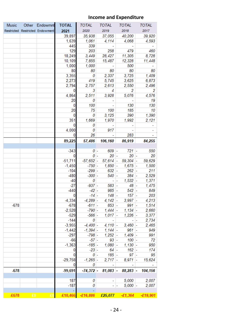| <b>Music</b> | Other Endowmnt                  | <b>TOTAL</b>   | TOTAL        | TOTAL      | TOTAL             | <b>TOTAL</b>                                         |
|--------------|---------------------------------|----------------|--------------|------------|-------------------|------------------------------------------------------|
|              | Restricted Restricted Endowment | 2021           | 2020         | 2019       | 2018              | 2017                                                 |
|              |                                 | 39,897         | 35,938       | 37,055     | 40,200            | 39,920                                               |
|              |                                 | 1,639          | 1,061        | 4,114      | 4,068             | 4,593                                                |
|              |                                 | 445            | 339          | ۰          | ۰                 |                                                      |
|              |                                 | 129            | 203          | 258        | 479               | 460                                                  |
|              |                                 | 18,249         | 3,449        | 28,427     | 11,305            | 8,728                                                |
|              |                                 | 10,109         | 7,855        | 15,487     | 12,328            | 11,448                                               |
|              |                                 | 1,000          | 1,000        |            | 500               |                                                      |
|              |                                 | 80             | 80           | 80         | 80                | 80                                                   |
|              |                                 | 3,355          | 0            | 2,337      | 3,725             | 1,409                                                |
|              |                                 | 2,273          | 419          | 5,745      | 3,625             | 6,873                                                |
|              |                                 | 2,794          | 2,757        | 2,613      | 2,550             | 2,496                                                |
|              |                                 | 0              | 3            | 4          | 2                 | 2                                                    |
|              |                                 | 4,864          | 2,511        | 3,928      | 5,076             | 4,576                                                |
|              |                                 | 20             | 0            |            |                   | 19                                                   |
|              |                                 | 0              | 100          |            | 130               | 130                                                  |
|              |                                 | 20             | 75           | 100        | 185               | 10                                                   |
|              |                                 | 0              | 0            | 3,125      | 390               | 1,390                                                |
|              |                                 | 351            | 1,669        | 1,970      | 1,992             | 2,121                                                |
|              |                                 | 0              | 0            |            |                   |                                                      |
|              |                                 | 4,000          | 0            | 917        |                   |                                                      |
|              |                                 | 0              | 26           |            | 283               |                                                      |
|              |                                 | 89,225         | 57,486       | 106,160    | 86,919            | 84,255                                               |
|              |                                 |                |              |            |                   |                                                      |
|              |                                 | $-343$         | 0 -          | $609 -$    | $721 -$           | 550                                                  |
|              |                                 | 0              | 0 -          | $20 -$     | $20 -$            | 20                                                   |
|              |                                 | $-51,711$      | $-57,652$ -  | $57,614$ - | $59,304$ -        | 59,629                                               |
|              |                                 | $-1,450$       | $-750 -$     | $1,850 -$  | $1,675 -$         | 1,500                                                |
|              |                                 | $-104$         | $-299$ $-$   | 632        | $262 -$<br>÷      | 211                                                  |
|              |                                 | $-480$         | $-300$ $-$   | $540$ -    | $384 -$           | 2,529                                                |
|              |                                 | $-40$          | 0            | ÷          | $1,532 -$<br>۰    | 1,371                                                |
|              |                                 | $-27$          | $-937 -$     | $583 -$    | $48 -$            | 1,475                                                |
|              |                                 | $-440$         | $-42 -$      | $985 -$    | $542 -$           | 849                                                  |
|              |                                 | $\overline{0}$ | $-14 -$      | 148        | 157               | 203                                                  |
|              |                                 | $-4,334$       | $-4,289$ $-$ | $4,142$ -  | $3,997 -$         | 4,213                                                |
| $-678$       |                                 | $-678$         | $-611 -$     | $853 -$    | $991 -$           | 1,514                                                |
|              |                                 | $-2,528$       | $-790 -$     | $1,444$ -  | $1,134$ -         | 2,660                                                |
|              |                                 | $-529$         | $-566$ -     | $1,017$ -  | $1,226 -$         | 3,377                                                |
|              |                                 | $-144$         | 0            |            |                   | 2,734                                                |
|              |                                 | $-3,955$       | $-4,400$ $-$ | $4,110$ -  | $3,460$ -         | 2,465                                                |
|              |                                 | $-1,442$       | $-1,394$ -   | $1,144$ -  | $961 -$           | 949                                                  |
|              |                                 | $-297$         | $-798 -$     | $1,252 -$  | $1,409 -$         | 991                                                  |
|              |                                 | $-66$          | $-57 -$      | $93 -$     | $100 -$           | 72                                                   |
|              |                                 | $-1,363$       | $-185$ -     | $1,080 -$  | $1,130 -$         | 950                                                  |
|              |                                 | 0              | $-23 -$      | $64 -$     | $162 -$           | 174                                                  |
|              |                                 | 0              | 0 -          | $185 -$    | 97                | 95                                                   |
|              |                                 | $-29,758$      | $-1,265 -$   | $2,717$ -  | $8,971$ -         | 15,624                                               |
|              |                                 | 0              | 0            |            |                   |                                                      |
| $-678$       |                                 | $-99,691$      |              |            |                   | $-74,372$ - 81,083 - 88,283 - 104,156                |
|              |                                 |                |              |            |                   |                                                      |
|              |                                 | 187            | 0            |            | 5,000             | 2,007                                                |
|              |                                 | $-187$         | 0            |            | $5,000$ -<br>- 1- | 2,007                                                |
|              |                                 |                |              |            |                   |                                                      |
| $-£678$      | E0<br>E(                        |                |              |            |                   | $-E10,466$ $-E16,886$ $E25,077$ $-E1,364$ $-E19,901$ |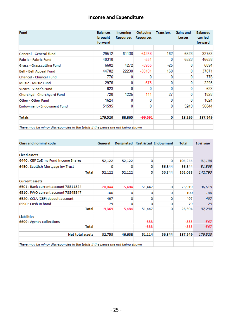| Fund                                                                            | <b>Balances</b><br>brought<br>forward | <b>Incoming</b><br><b>Resources</b> | Outgoing<br><b>Resources</b> | <b>Transfers</b> | <b>Gains and</b><br>Losses | <b>Balances</b><br>carried<br>forward |
|---------------------------------------------------------------------------------|---------------------------------------|-------------------------------------|------------------------------|------------------|----------------------------|---------------------------------------|
|                                                                                 |                                       |                                     |                              |                  |                            |                                       |
| General - General fund                                                          | 29512                                 | 61138                               | $-64258$                     | $-162$           | 6523                       | 32753                                 |
| Fabric - Fabric Fund                                                            | 40310                                 |                                     | $-554$                       | 0                | 6523                       | 46638                                 |
| <b>Grass - Grasscutting Fund</b>                                                | 6602                                  | 4272                                | $-3955$                      | $-25$            | $\bf{0}$                   | 6894                                  |
| Bell - Bell Appeal Fund                                                         | 44782                                 | 22230                               | $-30101$                     | 160              | $\bf{0}$                   | 37071                                 |
| Chancel - Chancel Fund                                                          | 776                                   |                                     | 0                            |                  | 0                          | 776                                   |
| Music - Music Fund                                                              | 2976                                  | 0                                   | $-678$                       | 0                | 0                          | 2298                                  |
| Vicars - Vicar's Fund                                                           | 623                                   | 0                                   | 0                            | 0                | 0                          | 623                                   |
| Churchyd - Churchyard Fund                                                      | 720                                   | 1225                                | $-144$                       | 27               | 0                          | 1828                                  |
| Other - Other Fund                                                              | 1624                                  |                                     | 0                            | 0                | 0                          | 1624                                  |
| Endowment - Endowment Fund                                                      | 51595                                 | n                                   | 0                            | 0                | 5249                       | 56844                                 |
| <b>Totals</b>                                                                   | 179,520                               | 88,865                              | -99,691                      | 0                | 18,295                     | 187,349                               |
| There may be minor discrepancies in the totals if the pence are not being shown |                                       |                                     |                              |                  |                            |                                       |

| <b>Class and nominal code</b>                                                   | General   |          |        | Designated Restricted Endowment | Total   | Last year |
|---------------------------------------------------------------------------------|-----------|----------|--------|---------------------------------|---------|-----------|
|                                                                                 |           |          |        |                                 |         |           |
| <b>Fixed assets</b>                                                             |           |          |        |                                 |         |           |
| 6440 : CBF CoE Inv Fund Income Shares                                           | 52,122    | 52,122   | ٥      | o                               | 104,244 | 91,198    |
| 6450 : Scottish Mortgage Inv Trust                                              | 0         | ٥        | 0      | 56,844                          | 56,844  | 51,595    |
| <b>Total</b>                                                                    | 52,122    | 52,122   | ٥      | 56,844                          | 161,088 | 142,793   |
| <b>Current assets</b>                                                           |           |          |        |                                 |         |           |
| 6501 : Bank current account 73311324                                            | $-20,044$ | $-5.484$ | 51,447 | 0                               | 25,919  | 36,619    |
| 6510 : FWO current account 73345547                                             | 100       | o        | o      | o                               | 100     | 100       |
| 6520 : CCLA (CBF) deposit account                                               | 497       | o        | o      | o                               | 497     | 497       |
| 6590 : Cash in hand                                                             | 79.       | o        | o      | o                               | 79      | 79        |
| <b>Total</b>                                                                    | $-19,369$ | $-5,484$ | 51,447 | o                               | 26,594  | 37,294    |
| <b>Liabilities</b>                                                              |           |          |        |                                 |         |           |
| 6699 : Agency collections                                                       |           |          | $-333$ |                                 | $-333$  | -567      |
| <b>Total</b>                                                                    |           |          | $-333$ |                                 | $-333$  | -567      |
| <b>Net total assets</b>                                                         | 32,753    | 46,638   | 51,114 | 56,844                          | 187,349 | 179,520   |
| There may be minor discrepancies in the totals if the pence are not being shown |           |          |        |                                 |         |           |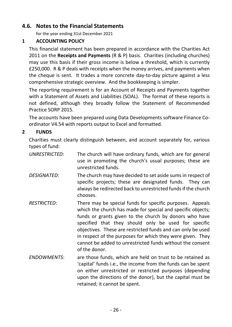## <span id="page-26-0"></span>**4.6. Notes to the Financial Statements**

for the year ending 31st December 2021

#### **1 ACCOUNTING POLICY**

This financial statement has been prepared in accordance with the Charities Act 2011 on the **Receipts and Payments** (R & P) basis. Charities (including churches) may use this basis if their gross income is below a threshold, which is currently £250,000. R & P deals with receipts when the money arrives, and payments when the cheque is sent. It trades a more concrete day-to-day picture against a less comprehensive strategic overview. And the bookkeeping is simpler.

The reporting requirement is for an Account of Receipts and Payments together with a Statement of Assets and Liabilities (SOAL). The format of these reports is not defined, although they broadly follow the Statement of Recommended Practice SORP 2015.

The accounts have been prepared using Data Developments software Finance Coordinator V4.54 with reports output to Excel and formatted.

#### **2 FUNDS**

Charities must clearly distinguish between, and account separately for, various types of fund:

| <b>UNRESTRICTED:</b> | The church will have ordinary funds, which are for general<br>use in promoting the church's usual purposes; these are<br>unrestricted funds.                                                                                                                                                                                                                                                                                                          |
|----------------------|-------------------------------------------------------------------------------------------------------------------------------------------------------------------------------------------------------------------------------------------------------------------------------------------------------------------------------------------------------------------------------------------------------------------------------------------------------|
| <b>DESIGNATED:</b>   | The church may have decided to set aside sums in respect of<br>specific projects; these are designated funds. They can<br>always be redirected back to unrestricted funds if the church<br>chooses.                                                                                                                                                                                                                                                   |
| <b>RESTRICTED:</b>   | There may be special funds for specific purposes. Appeals<br>which the church has made for special and specific objects;<br>funds or grants given to the church by donors who have<br>specified that they should only be used for specific<br>objectives. These are restricted funds and can only be used<br>in respect of the purposes for which they were given. They<br>cannot be added to unrestricted funds without the consent<br>of the donor. |
| <b>ENDOWMENTS:</b>   | are those funds, which are held on trust to be retained as<br>'capital' funds i.e., the income from the funds can be spent<br>on either unrestricted or restricted purposes (depending<br>upon the directions of the donor), but the capital must be                                                                                                                                                                                                  |

retained; it cannot be spent.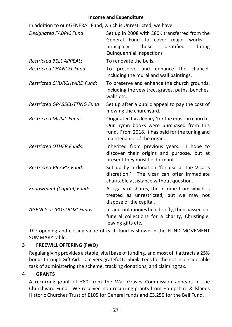In addition to our GENERAL Fund, which is Unrestricted, we have:

| <b>Designated FABRIC Fund:</b>       | Set up in 2008 with £80K transferred from the<br>General Fund to cover major<br>works<br>those<br>identified<br>principally<br>during<br><b>Quinquennial Inspections</b>     |
|--------------------------------------|------------------------------------------------------------------------------------------------------------------------------------------------------------------------------|
| <b>Restricted BELL APPEAL:</b>       | To renovate the bells.                                                                                                                                                       |
| <b>Restricted CHANCEL Fund:</b>      | To preserve and enhance the chancel,<br>including the mural and wall paintings.                                                                                              |
| <b>Restricted CHURCHYARD Fund:</b>   | To preserve and enhance the church grounds,<br>including the yew tree, graves, paths, benches,<br>walls etc.                                                                 |
| <b>Restricted GRASSCUTTING Fund:</b> | Set up after a public appeal to pay the cost of<br>mowing the churchyard.                                                                                                    |
| <b>Restricted MUSIC Fund:</b>        | Originated by a legacy 'for the music in church.'<br>Our hymn books were purchased from this<br>fund. From 2018, it has paid for the tuning and<br>maintenance of the organ. |
| <b>Restricted OTHER Funds:</b>       | Inherited from previous years. I hope to<br>discover their origins and purpose, but at<br>present they must lie dormant.                                                     |
| <b>Restricted VICAR'S Fund:</b>      | Set up by a donation 'for use at the Vicar's<br>discretion.' The vicar can offer immediate<br>charitable assistance without question.                                        |
| <b>Endowment (Capital) Fund:</b>     | A legacy of shares, the income from which is<br>treated as unrestricted, but we may not<br>dispose of the capital.                                                           |
| <b>AGENCY or 'POSTBOX' Funds:</b>    | In-and-out monies held briefly, then passed on:<br>funeral collections for a charity, Christingle,<br>leaving gifts etc.                                                     |

The opening and closing value of each fund is shown in the FUND MOVEMENT SUMMARY table.

## **3 FREEWILL OFFERING (FWO)**

Regular giving provides a stable, vital base of funding, and most of it attracts a 25% bonus through Gift Aid. I am very grateful to Sheila Lees for the not inconsiderable task of administering the scheme, tracking donations, and claiming tax.

#### **4 GRANTS**

A recurring grant of £80 from the War Graves Commission appears in the Churchyard Fund. We received non-recurring grants from Hampshire & lslands Historic Churches Trust of £105 for General funds and £3,250 for the Bell Fund.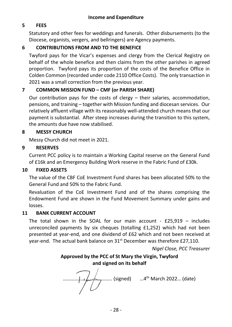## **5 FEES**

Statutory and other fees for weddings and funerals. Other disbursements (to the Diocese, organists, vergers, and bellringers) are Agency payments.

#### **6 CONTRIBUTIONS FROM AND TO THE BENEFICE**

Twyford pays for the Vicar's expenses and clergy from the Clerical Registry on behalf of the whole benefice and then claims from the other parishes in agreed proportion. Twyford pays its proportion of the costs of the Benefice Office in Colden Common (recorded under code 2110 Office Costs). The only transaction in 2021 was a small correction from the previous year.

#### **7 COMMON MISSION FUND – CMF (or PARISH SHARE)**

Our contribution pays for the costs of clergy – their salaries, accommodation, pensions, and training – together with Mission funding and diocesan services. Our relatively affluent village with its reasonably well-attended church means that our payment is substantial. After steep increases during the transition to this system, the amounts due have now stabilised.

#### **8 MESSY CHURCH**

Messy Church did not meet in 2021.

#### **9 RESERVES**

Current PCC policy is to maintain a Working Capital reserve on the General Fund of £16k and an Emergency Building Work reserve in the Fabric Fund of £30k.

#### **10 FIXED ASSETS**

The value of the CBF CoE Investment Fund shares has been allocated 50% to the General Fund and 50% to the Fabric Fund.

Revaluation of the CoE Investment Fund and of the shares comprising the Endowment Fund are shown in the Fund Movement Summary under gains and losses.

#### **11 BANK CURRENT ACCOUNT**

The total shown in the SOAL for our main account -  $£25,919 -$  includes unreconciled payments by six cheques (totalling £1,252) which had not been presented at year-end, and one dividend of £62 which and not been received at year-end. The actual bank balance on 31<sup>st</sup> December was therefore £27,110.

*Nigel Close, PCC Treasurer*

## **Approved by the PCC of St Mary the Virgin, Twyford and signed on its behalf**

………………………….…….. (signed) …4 th March 2022… (date)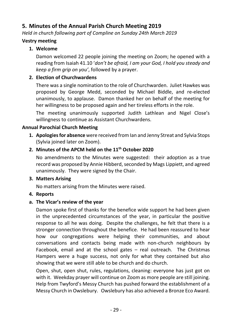## <span id="page-29-0"></span>**5. Minutes of the Annual Parish Church Meeting 2019**

*Held in church following part of Compline on Sunday 24th March 2019*

## **Vestry meeting**

## **1. Welcome**

Damon welcomed 22 people joining the meeting on Zoom; he opened with a reading from Isaiah 41.10 '*don't be afraid, I am your God, I hold you steady and keep a firm grip on you'*, followed by a prayer.

#### **2. Election of Churchwardens**

There was a single nomination to the role of Churchwarden. Juliet Hawkes was proposed by George Medd, seconded by Michael Biddle, and re-elected unanimously, to applause. Damon thanked her on behalf of the meeting for her willingness to be proposed again and her tireless efforts in the role.

The meeting unanimously supported Judith Lathlean and Nigel Close's willingness to continue as Assistant Churchwardens.

#### **Annual Parochial Church Meeting**

**1. Apologies for absence** were received from Ian and Jenny Streat and Sylvia Stops (Sylvia joined later on Zoom).

## **2. Minutes of the APCM held on the 11th October 2020**

No amendments to the Minutes were suggested: their adoption as a true record was proposed by Annie Hibberd, seconded by Mags Lippiett, and agreed unanimously. They were signed by the Chair.

#### **3. Matters Arising**

No matters arising from the Minutes were raised.

#### **4. Reports**

#### **a. The Vicar's review of the year**

Damon spoke first of thanks for the benefice wide support he had been given in the unprecedented circumstances of the year, in particular the positive response to all he was doing. Despite the challenges, he felt that there is a stronger connection throughout the benefice. He had been reassured to hear how our congregations were helping their communities, and about conversations and contacts being made with non-church neighbours by Facebook, email and at the school gates – real outreach. The Christmas Hampers were a huge success, not only for what they contained but also showing that we were still able to be church and do church.

Open, shut, open shut, rules, regulations, cleaning: everyone has just got on with it. Weekday prayer will continue on Zoom as more people are still joining. Help from Twyford's Messy Church has pushed forward the establishment of a Messy Church in Owslebury. Owslebury has also achieved a Bronze Eco Award.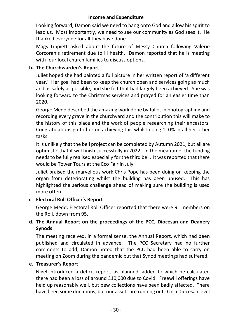Looking forward, Damon said we need to hang onto God and allow his spirit to lead us. Most importantly, we need to see our community as God sees it. He thanked everyone for all they have done.

Mags Lippiett asked about the future of Messy Church following Valerie Corcoran's retirement due to ill health. Damon reported that he is meeting with four local church families to discuss options.

#### **b. The Churchwarden's Report**

Juliet hoped she had painted a full picture in her written report of 'a different year.' Her goal had been to keep the church open and services going as much and as safely as possible, and she felt that had largely been achieved. She was looking forward to the Christmas services and prayed for an easier time than 2020.

George Medd described the amazing work done by Juliet in photographing and recording every grave in the churchyard and the contribution this will make to the history of this place and the work of people researching their ancestors. Congratulations go to her on achieving this whilst doing 110% in all her other tasks.

It is unlikely that the bell project can be completed by Autumn 2021, but all are optimistic that it will finish successfully in 2022. In the meantime, the funding needs to be fully realised especially for the third bell. It was reported that there would be Tower Tours at the Eco Fair in July.

Juliet praised the marvellous work Chris Pope has been doing on keeping the organ from deteriorating whilst the building has been unused. This has highlighted the serious challenge ahead of making sure the building is used more often.

#### **c. Electoral Roll Officer's Report**

George Medd, Electoral Roll Officer reported that there were 91 members on the Roll, down from 95.

## **d. The Annual Report on the proceedings of the PCC, Diocesan and Deanery Synods**

The meeting received, in a formal sense, the Annual Report, which had been published and circulated in advance. The PCC Secretary had no further comments to add; Damon noted that the PCC had been able to carry on meeting on Zoom during the pandemic but that Synod meetings had suffered.

#### **e. Treasurer's Report**

Nigel introduced a deficit report, as planned, added to which he calculated there had been a loss of around £10,000 due to Covid. Freewill offerings have held up reasonably well, but pew collections have been badly affected. There have been some donations, but our assets are running out. On a Diocesan level